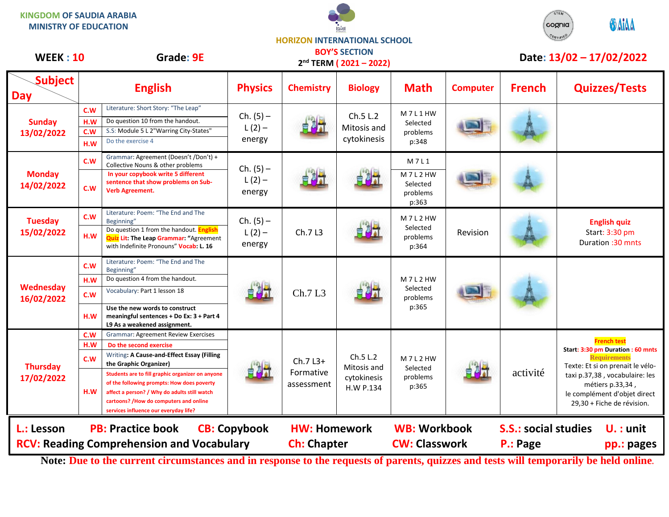**KINGDOM OF SAUDIA ARABIA MINISTRY OF EDUCATION**





## **HORIZON INTERNATIONAL SCHOOL**

| <b>WEEK: 10</b>                                                                                                   |                          | <b>Grade: 9E</b>                                                                                                                                                                                                                                                                                                                                                                   |                                   |                                           | <b>BOY'S SECTION</b><br>2 <sup>nd</sup> TERM (2021-2022) |                                                 |                 |                                         | Date: 13/02 - 17/02/2022                                                                                                                                                                                                               |
|-------------------------------------------------------------------------------------------------------------------|--------------------------|------------------------------------------------------------------------------------------------------------------------------------------------------------------------------------------------------------------------------------------------------------------------------------------------------------------------------------------------------------------------------------|-----------------------------------|-------------------------------------------|----------------------------------------------------------|-------------------------------------------------|-----------------|-----------------------------------------|----------------------------------------------------------------------------------------------------------------------------------------------------------------------------------------------------------------------------------------|
| Subject<br><b>Day</b>                                                                                             |                          | <b>English</b>                                                                                                                                                                                                                                                                                                                                                                     | <b>Physics</b>                    | <b>Chemistry</b>                          | <b>Biology</b>                                           | <b>Math</b>                                     | <b>Computer</b> | <b>French</b>                           | <b>Quizzes/Tests</b>                                                                                                                                                                                                                   |
| <b>Sunday</b><br>13/02/2022                                                                                       | C.W<br>H.W<br>C.W<br>H.W | Literature: Short Story: "The Leap"<br>Do question 10 from the handout.<br>S.S: Module 5 L 2"Warring City-States"<br>Do the exercise 4                                                                                                                                                                                                                                             | $Ch. (5) -$<br>$L(2) -$<br>energy |                                           | Ch.5 L.2<br>Mitosis and<br>cytokinesis                   | M7L1HW<br>Selected<br>problems<br>p:348         |                 |                                         |                                                                                                                                                                                                                                        |
| <b>Monday</b><br>14/02/2022                                                                                       | C.W<br>C.W               | Grammar: Agreement (Doesn't /Don't) +<br>Collective Nouns & other problems<br>In your copybook write 5 different<br>sentence that show problems on Sub-<br>Verb Agreement.                                                                                                                                                                                                         | $Ch. (5) -$<br>$L(2) -$<br>energy |                                           |                                                          | M7L1<br>M7L2HW<br>Selected<br>problems<br>p:363 |                 |                                         |                                                                                                                                                                                                                                        |
| <b>Tuesday</b><br>15/02/2022                                                                                      | C.W<br>H.W               | Literature: Poem: "The End and The<br>Beginning"<br>Do question 1 from the handout. <b>English</b><br><b>Quiz Lit: The Leap Grammar: "Agreement</b><br>with Indefinite Pronouns" Vocab: L. 16                                                                                                                                                                                      | $Ch. (5) -$<br>$L(2) -$<br>energy | Ch.7L3                                    |                                                          | M7L2HW<br>Selected<br>problems<br>p:364         | Revision        |                                         | <b>English quiz</b><br>Start: 3:30 pm<br>Duration : 30 mnts                                                                                                                                                                            |
| Wednesday<br>16/02/2022                                                                                           | C.W<br>H.W<br>c.w<br>H.W | Literature: Poem: "The End and The<br>Beginning"<br>Do question 4 from the handout.<br>Vocabulary: Part 1 lesson 18<br>Use the new words to construct<br>meaningful sentences + Do Ex: 3 + Part 4<br>L9 As a weakened assignment.                                                                                                                                                  |                                   | Ch.7 L3                                   |                                                          | M7L2HW<br>Selected<br>problems<br>p:365         |                 |                                         |                                                                                                                                                                                                                                        |
| <b>Thursday</b><br>17/02/2022                                                                                     | C.W<br>H.W<br>c.w<br>H.W | <b>Grammar: Agreement Review Exercises</b><br>Do the second exercise<br>Writing: A Cause-and-Effect Essay (Filling<br>the Graphic Organizer)<br>Students are to fill graphic organizer on anyone<br>of the following prompts: How does poverty<br>affect a person? / Why do adults still watch<br>cartoons? / How do computers and online<br>services influence our everyday life? | 自己才                               | Ch.7 L3+<br>Formative<br>assessment       | Ch.5 L.2<br>Mitosis and<br>cytokinesis<br>H.W P.134      | M7L2HW<br>Selected<br>problems<br>p:365         |                 | activité                                | <b>French test</b><br>Start: 3:30 pm Duration : 60 mnts<br><b>Requirements</b><br>Texte: Et si on prenait le vélo-<br>taxi p.37,38, vocabulaire: les<br>métiers p.33,34,<br>le complément d'objet direct<br>29,30 + Fiche de révision. |
| L.: Lesson<br><b>PB: Practice book</b><br><b>CB: Copybook</b><br><b>RCV: Reading Comprehension and Vocabulary</b> |                          |                                                                                                                                                                                                                                                                                                                                                                                    |                                   | <b>HW: Homework</b><br><b>Ch: Chapter</b> |                                                          | <b>WB: Workbook</b><br><b>CW: Classwork</b>     |                 | <b>S.S.: social studies</b><br>P.: Page | $U.:$ unit<br>pp.: pages                                                                                                                                                                                                               |

**Note: Due to the current circumstances and in response to the requests of parents, quizzes and tests will temporarily be held online.**